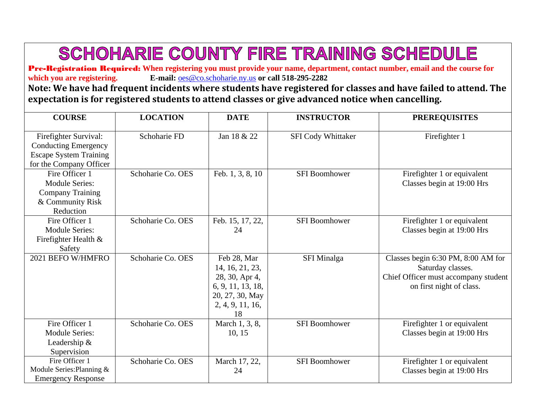## **SCHOHARIE COUNTY FIRE TRAINING SCHEDULE**

Pre-Registration Required: **When registering you must provide your name, department, contact number, email and the course for**  which you are registering. E-mail:  $\cos\omega$  co.schoharie.ny.us or call 518-295-2282

**Note: We have had frequent incidents where students have registered for classes and have failed to attend. The expectation is for registered students to attend classes or give advanced notice when cancelling.**

| <b>COURSE</b>                                                                                                    | <b>LOCATION</b>   | <b>DATE</b>                                                                                                        | <b>INSTRUCTOR</b>         | <b>PREREQUISITES</b>                                                                                                        |
|------------------------------------------------------------------------------------------------------------------|-------------------|--------------------------------------------------------------------------------------------------------------------|---------------------------|-----------------------------------------------------------------------------------------------------------------------------|
| Firefighter Survival:<br><b>Conducting Emergency</b><br><b>Escape System Training</b><br>for the Company Officer | Schoharie FD      | Jan 18 & 22                                                                                                        | <b>SFI Cody Whittaker</b> | Firefighter 1                                                                                                               |
| Fire Officer 1<br><b>Module Series:</b><br><b>Company Training</b><br>& Community Risk<br>Reduction              | Schoharie Co. OES | Feb. 1, 3, 8, 10                                                                                                   | <b>SFI Boomhower</b>      | Firefighter 1 or equivalent<br>Classes begin at 19:00 Hrs                                                                   |
| Fire Officer 1<br><b>Module Series:</b><br>Firefighter Health $\&$<br>Safety                                     | Schoharie Co. OES | Feb. 15, 17, 22,<br>24                                                                                             | <b>SFI Boomhower</b>      | Firefighter 1 or equivalent<br>Classes begin at 19:00 Hrs                                                                   |
| 2021 BEFO W/HMFRO                                                                                                | Schoharie Co. OES | Feb 28, Mar<br>14, 16, 21, 23,<br>28, 30, Apr 4,<br>6, 9, 11, 13, 18,<br>20, 27, 30, May<br>2, 4, 9, 11, 16,<br>18 | <b>SFI</b> Minalga        | Classes begin 6:30 PM, 8:00 AM for<br>Saturday classes.<br>Chief Officer must accompany student<br>on first night of class. |
| Fire Officer 1<br><b>Module Series:</b><br>Leadership &<br>Supervision                                           | Schoharie Co. OES | March 1, 3, 8,<br>10, 15                                                                                           | <b>SFI Boomhower</b>      | Firefighter 1 or equivalent<br>Classes begin at 19:00 Hrs                                                                   |
| Fire Officer 1<br>Module Series: Planning &<br><b>Emergency Response</b>                                         | Schoharie Co. OES | March 17, 22,<br>24                                                                                                | <b>SFI Boomhower</b>      | Firefighter 1 or equivalent<br>Classes begin at 19:00 Hrs                                                                   |